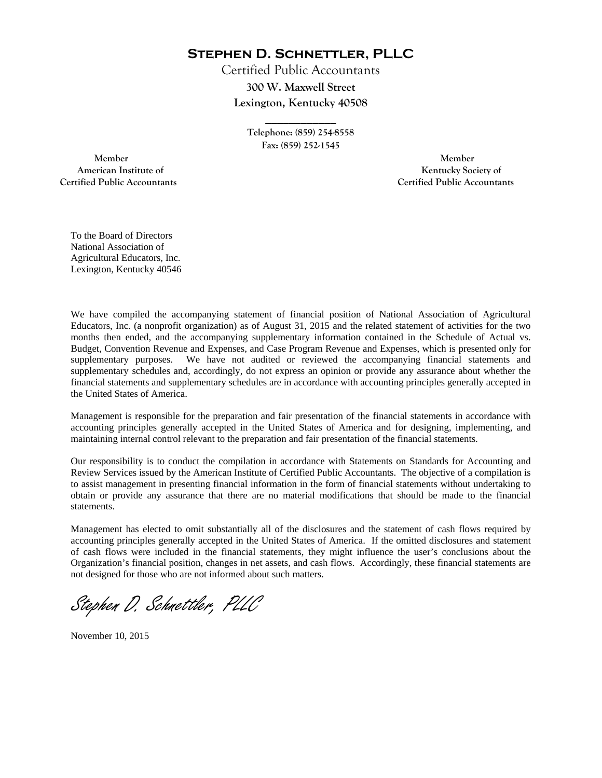**Stephen D. Schnettler, PLLC**

Certified Public Accountants **300 W. Maxwell Street Lexington, Kentucky 40508** 

> **Telephone: (859) 254-8558 Fax: (859) 252-1545**

**\_\_\_\_\_\_\_\_\_\_\_\_** 

 **Member Member Certified Public Accountants Certified Public Accountants** 

American Institute of **Kentucky Society of American Institute of** 

To the Board of Directors National Association of Agricultural Educators, Inc. Lexington, Kentucky 40546

We have compiled the accompanying statement of financial position of National Association of Agricultural Educators, Inc. (a nonprofit organization) as of August 31, 2015 and the related statement of activities for the two months then ended, and the accompanying supplementary information contained in the Schedule of Actual vs. Budget, Convention Revenue and Expenses, and Case Program Revenue and Expenses, which is presented only for supplementary purposes. We have not audited or reviewed the accompanying financial statements and supplementary schedules and, accordingly, do not express an opinion or provide any assurance about whether the financial statements and supplementary schedules are in accordance with accounting principles generally accepted in the United States of America.

Management is responsible for the preparation and fair presentation of the financial statements in accordance with accounting principles generally accepted in the United States of America and for designing, implementing, and maintaining internal control relevant to the preparation and fair presentation of the financial statements.

Our responsibility is to conduct the compilation in accordance with Statements on Standards for Accounting and Review Services issued by the American Institute of Certified Public Accountants. The objective of a compilation is to assist management in presenting financial information in the form of financial statements without undertaking to obtain or provide any assurance that there are no material modifications that should be made to the financial statements.

Management has elected to omit substantially all of the disclosures and the statement of cash flows required by accounting principles generally accepted in the United States of America. If the omitted disclosures and statement of cash flows were included in the financial statements, they might influence the user's conclusions about the Organization's financial position, changes in net assets, and cash flows. Accordingly, these financial statements are not designed for those who are not informed about such matters.

Stephen D. Schnettler, PLLC

November 10, 2015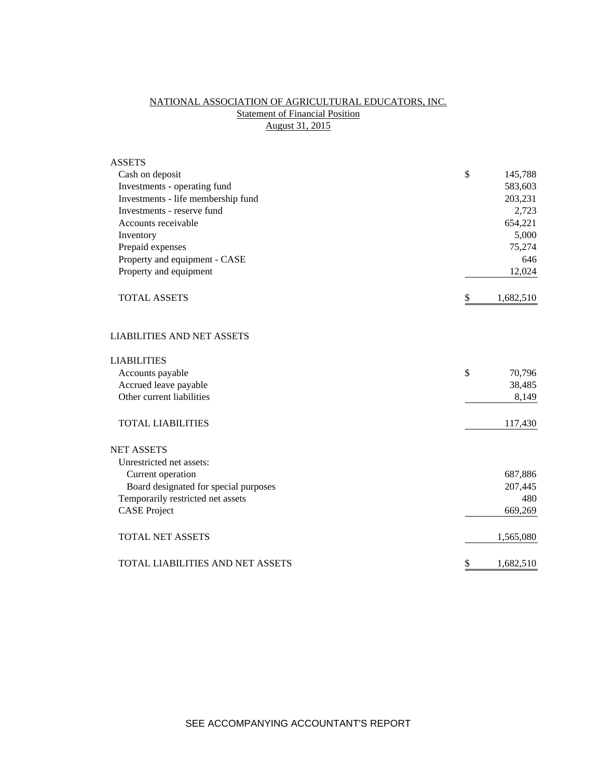# NATIONAL ASSOCIATION OF AGRICULTURAL EDUCATORS, INC. **Statement of Financial Position** August 31, 2015

| <b>ASSETS</b>                         |                 |
|---------------------------------------|-----------------|
| Cash on deposit                       | \$<br>145,788   |
| Investments - operating fund          | 583,603         |
| Investments - life membership fund    | 203,231         |
| Investments - reserve fund            | 2,723           |
| Accounts receivable                   | 654,221         |
| Inventory                             | 5,000           |
| Prepaid expenses                      | 75,274          |
| Property and equipment - CASE         | 646             |
| Property and equipment                | 12,024          |
| <b>TOTAL ASSETS</b>                   | 1,682,510<br>\$ |
| <b>LIABILITIES AND NET ASSETS</b>     |                 |
| <b>LIABILITIES</b>                    |                 |
| Accounts payable                      | \$<br>70,796    |
| Accrued leave payable                 | 38,485          |
| Other current liabilities             | 8,149           |
| <b>TOTAL LIABILITIES</b>              | 117,430         |
| <b>NET ASSETS</b>                     |                 |
| Unrestricted net assets:              |                 |
| Current operation                     | 687,886         |
| Board designated for special purposes | 207,445         |
| Temporarily restricted net assets     | 480             |
| <b>CASE Project</b>                   | 669,269         |
| <b>TOTAL NET ASSETS</b>               | 1,565,080       |
| TOTAL LIABILITIES AND NET ASSETS      | \$<br>1,682,510 |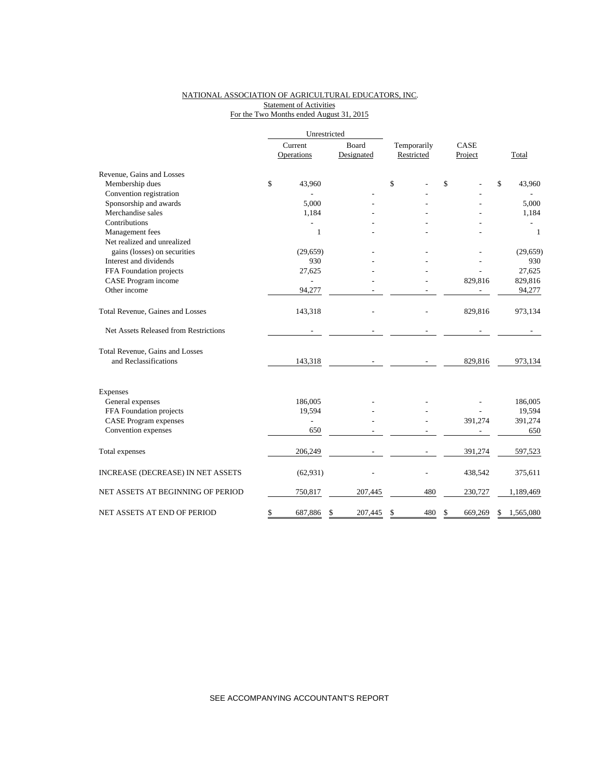### NATIONAL ASSOCIATION OF AGRICULTURAL EDUCATORS, INC. **Statement of Activities** For the Two Months ended August 31, 2015

|                                       | Unrestricted   |               |             |               |                 |  |
|---------------------------------------|----------------|---------------|-------------|---------------|-----------------|--|
|                                       | Current        | Board         | Temporarily | CASE          |                 |  |
|                                       | Operations     | Designated    | Restricted  | Project       | Total           |  |
| Revenue, Gains and Losses             |                |               |             |               |                 |  |
| Membership dues                       | \$<br>43,960   |               | \$          | \$            | \$<br>43,960    |  |
| Convention registration               |                |               |             |               |                 |  |
| Sponsorship and awards                | 5,000          |               |             |               | 5,000           |  |
| Merchandise sales                     | 1,184          |               |             |               | 1,184           |  |
| Contributions                         |                |               |             |               |                 |  |
| Management fees                       | 1              |               |             |               | $\mathbf{1}$    |  |
| Net realized and unrealized           |                |               |             |               |                 |  |
| gains (losses) on securities          | (29, 659)      |               |             |               | (29, 659)       |  |
| Interest and dividends                | 930            |               |             |               | 930             |  |
| FFA Foundation projects               | 27,625         |               |             |               | 27,625          |  |
| CASE Program income                   |                |               |             | 829,816       | 829,816         |  |
| Other income                          | 94,277         |               |             |               | 94,277          |  |
| Total Revenue, Gaines and Losses      | 143,318        |               |             | 829,816       | 973,134         |  |
| Net Assets Released from Restrictions |                |               |             |               |                 |  |
| Total Revenue, Gains and Losses       |                |               |             |               |                 |  |
| and Reclassifications                 | 143,318        |               |             | 829,816       | 973,134         |  |
| Expenses                              |                |               |             |               |                 |  |
| General expenses                      | 186,005        |               |             |               | 186,005         |  |
| FFA Foundation projects               | 19,594         |               |             |               | 19,594          |  |
| <b>CASE</b> Program expenses          | $\overline{a}$ |               |             | 391,274       | 391,274         |  |
| Convention expenses                   | 650            |               |             |               | 650             |  |
|                                       |                |               |             |               |                 |  |
| Total expenses                        | 206,249        |               |             | 391,274       | 597,523         |  |
| INCREASE (DECREASE) IN NET ASSETS     | (62, 931)      |               |             | 438,542       | 375,611         |  |
| NET ASSETS AT BEGINNING OF PERIOD     | 750,817        | 207,445       | 480         | 230,727       | 1,189,469       |  |
| NET ASSETS AT END OF PERIOD           | \$<br>687,886  | \$<br>207,445 | \$<br>480   | \$<br>669.269 | \$<br>1,565,080 |  |

SEE ACCOMPANYING ACCOUNTANT'S REPORT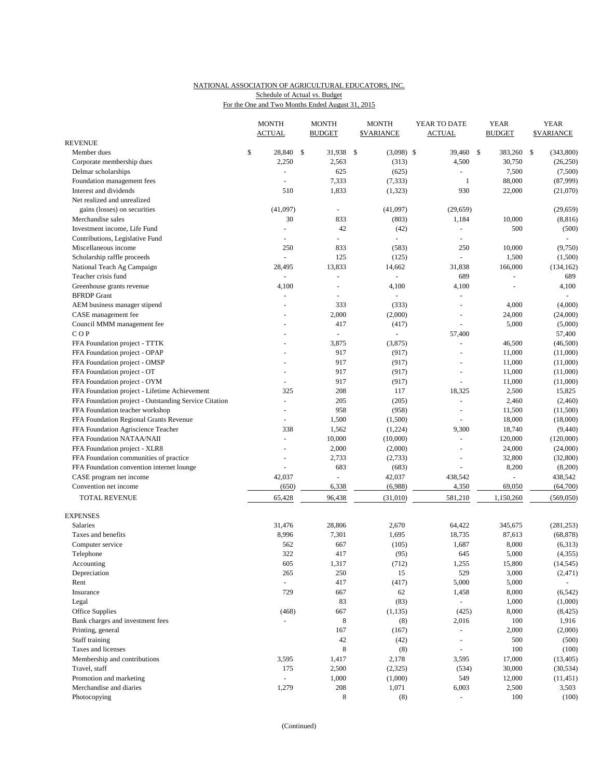## NATIONAL ASSOCIATION OF AGRICULTURAL EDUCATORS, INC. Schedule of Actual vs. Budget

| For the One and Two Months Ended August 31, 2015 |  |  |  |
|--------------------------------------------------|--|--|--|
|                                                  |  |  |  |

|                                                       | <b>MONTH</b><br><b>ACTUAL</b> | <b>MONTH</b><br><b>BUDGET</b> |               | <b>MONTH</b><br><b>\$VARIANCE</b> | YEAR TO DATE<br><b>ACTUAL</b> |              | YEAR<br><b>BUDGET</b> |              | <b>YEAR</b><br><b>\$VARIANCE</b> |
|-------------------------------------------------------|-------------------------------|-------------------------------|---------------|-----------------------------------|-------------------------------|--------------|-----------------------|--------------|----------------------------------|
| <b>REVENUE</b>                                        |                               |                               |               |                                   |                               |              |                       |              |                                  |
| Member dues                                           | \$<br>28,840 \$               | 31,938                        | $\mathcal{S}$ | $(3,098)$ \$                      | 39,460                        | $\mathbb{S}$ | 383,260               | $\mathbb{S}$ | (343,800)                        |
| Corporate membership dues                             | 2,250                         | 2,563                         |               | (313)                             | 4,500                         |              | 30,750                |              | (26, 250)                        |
| Delmar scholarships                                   | $\blacksquare$                | 625                           |               | (625)                             | $\equiv$                      |              | 7,500                 |              | (7,500)                          |
| Foundation management fees                            |                               | 7,333                         |               | (7, 333)                          | $\mathbf{1}$                  |              | 88,000                |              | (87,999)                         |
| Interest and dividends                                | 510                           | 1,833                         |               | (1, 323)                          | 930                           |              | 22,000                |              | (21,070)                         |
| Net realized and unrealized                           |                               |                               |               |                                   |                               |              |                       |              |                                  |
| gains (losses) on securities                          | (41,097)                      | ä,                            |               | (41,097)                          | (29, 659)                     |              |                       |              | (29, 659)                        |
| Merchandise sales                                     | 30                            | 833                           |               | (803)                             | 1,184                         |              | 10,000                |              | (8, 816)                         |
| Investment income, Life Fund                          |                               | 42                            |               | (42)                              | $\blacksquare$                |              | 500                   |              | (500)                            |
| Contributions, Legislative Fund                       |                               |                               |               |                                   |                               |              |                       |              |                                  |
| Miscellaneous income                                  | 250                           | 833                           |               | (583)                             | 250                           |              | 10,000                |              | (9,750)                          |
| Scholarship raffle proceeds                           | $\overline{\phantom{a}}$      | 125                           |               | (125)                             |                               |              | 1,500                 |              | (1,500)                          |
| National Teach Ag Campaign                            | 28,495                        | 13,833                        |               | 14,662                            | 31,838                        |              | 166,000               |              | (134, 162)                       |
| Teacher crisis fund                                   | $\overline{\phantom{a}}$      | ÷,                            |               |                                   | 689                           |              | L,                    |              | 689                              |
| Greenhouse grants revenue                             | 4,100                         | $\overline{a}$                |               | 4,100                             | 4,100                         |              |                       |              | 4,100                            |
| <b>BFRDP</b> Grant                                    |                               | L,                            |               |                                   |                               |              |                       |              |                                  |
| AEM business manager stipend                          | $\overline{a}$                | 333                           |               | (333)                             | $\sim$                        |              | 4,000                 |              | (4,000)                          |
| CASE management fee                                   |                               | 2,000                         |               | (2,000)                           |                               |              | 24,000                |              | (24,000)                         |
| Council MMM management fee                            |                               | 417                           |               | (417)                             | $\blacksquare$                |              | 5,000                 |              | (5,000)                          |
| COP                                                   |                               |                               |               |                                   | 57,400                        |              |                       |              | 57,400                           |
| FFA Foundation project - TTTK                         |                               | 3,875                         |               | (3,875)                           | $\overline{a}$                |              | 46,500                |              | (46,500)                         |
| FFA Foundation project - OPAP                         |                               | 917                           |               | (917)                             | ÷,                            |              | 11,000                |              | (11,000)                         |
| FFA Foundation project - OMSP                         |                               | 917                           |               | (917)                             |                               |              | 11,000                |              | (11,000)                         |
| FFA Foundation project - OT                           |                               | 917                           |               | (917)                             | ÷,                            |              | 11,000                |              | (11,000)                         |
| FFA Foundation project - OYM                          |                               | 917                           |               | (917)                             |                               |              | 11,000                |              | (11,000)                         |
| FFA Foundation project - Lifetime Achievement         | 325                           | 208                           |               | 117                               | 18,325                        |              | 2,500                 |              | 15,825                           |
| FFA Foundation project - Outstanding Service Citation |                               | 205                           |               | (205)                             | L.                            |              | 2,460                 |              | (2,460)                          |
| FFA Foundation teacher workshop                       | $\sim$                        | 958                           |               | (958)                             | $\bar{a}$                     |              | 11,500                |              | (11,500)                         |
| FFA Foundation Regional Grants Revenue                |                               | 1,500                         |               | (1,500)                           |                               |              | 18,000                |              | (18,000)                         |
| FFA Foundation Agriscience Teacher                    | 338                           | 1,562                         |               | (1,224)                           | 9,300                         |              | 18,740                |              | (9,440)                          |
| FFA Foundation NATAA/NAII                             | $\sim$                        | 10,000                        |               | (10,000)                          | $\overline{\phantom{a}}$      |              | 120,000               |              | (120,000)                        |
| FFA Foundation project - XLR8                         |                               | 2,000                         |               | (2,000)                           | $\sim$                        |              | 24,000                |              | (24,000)                         |
| FFA Foundation communities of practice                |                               | 2,733                         |               | (2,733)                           | ÷,                            |              | 32,800                |              | (32,800)                         |
| FFA Foundation convention internet lounge             |                               | 683                           |               | (683)                             | $\overline{a}$                |              | 8,200                 |              | (8,200)                          |
| CASE program net income                               | 42,037                        |                               |               | 42,037<br>(6,988)                 | 438,542<br>4,350              |              |                       |              | 438,542                          |
| Convention net income                                 | (650)                         | 6,338                         |               |                                   |                               |              | 69,050                |              | (64,700)                         |
| <b>TOTAL REVENUE</b>                                  | 65,428                        | 96,438                        |               | (31,010)                          | 581,210                       |              | 1,150,260             |              | (569, 050)                       |
| <b>EXPENSES</b>                                       |                               |                               |               |                                   |                               |              |                       |              |                                  |
| Salaries                                              | 31,476                        | 28,806                        |               | 2,670                             | 64,422                        |              | 345,675               |              | (281, 253)                       |
| Taxes and benefits                                    | 8,996                         | 7,301                         |               | 1,695                             | 18,735                        |              | 87,613                |              | (68, 878)                        |
| Computer service                                      | 562                           | 667                           |               | (105)                             | 1,687                         |              | 8,000                 |              | (6,313)                          |
| Telephone                                             | 322                           | 417                           |               | (95)                              | 645                           |              | 5,000                 |              | (4, 355)                         |
| Accounting                                            | 605                           | 1,317                         |               | (712)                             | 1,255                         |              | 15,800                |              | (14, 545)                        |
| Depreciation                                          | 265                           | 250                           |               | 15                                | 529                           |              | 3,000                 |              | (2, 471)                         |
| Rent                                                  | $\omega$                      | 417                           |               | (417)                             | 5,000                         |              | 5,000                 |              |                                  |
| Insurance                                             | 729                           | 667                           |               | 62                                | 1,458                         |              | 8,000                 |              | (6, 542)                         |
| Legal                                                 |                               | 83                            |               | (83)                              | $\Box$                        |              | 1,000                 |              | (1,000)                          |
| Office Supplies                                       | (468)                         | 667                           |               | (1, 135)                          | (425)                         |              | 8,000                 |              | (8, 425)                         |
| Bank charges and investment fees                      | $\overline{\phantom{a}}$      | 8                             |               | (8)                               | 2,016                         |              | 100                   |              | 1,916                            |
| Printing, general                                     |                               | 167                           |               | (167)                             | $\omega$                      |              | 2,000                 |              | (2,000)                          |
| Staff training                                        |                               | 42                            |               | (42)                              | $\overline{\phantom{a}}$      |              | 500                   |              | (500)                            |
| Taxes and licenses                                    |                               | $\,$ 8 $\,$                   |               | (8)                               | $\sim$                        |              | 100                   |              | (100)                            |
| Membership and contributions                          | 3,595                         | 1,417                         |               | 2,178                             | 3,595                         |              | 17,000                |              | (13, 405)                        |
| Travel, staff                                         | 175                           | 2,500                         |               | (2,325)                           | (534)                         |              | 30,000                |              | (30, 534)                        |
| Promotion and marketing                               | $\overline{\phantom{a}}$      | 1,000                         |               | (1,000)                           | 549                           |              | 12,000                |              | (11, 451)                        |
| Merchandise and diaries                               | 1,279                         | 208                           |               | 1,071                             | 6,003                         |              | 2,500                 |              | 3,503                            |
| Photocopying                                          |                               | 8                             |               | (8)                               |                               |              | 100                   |              | (100)                            |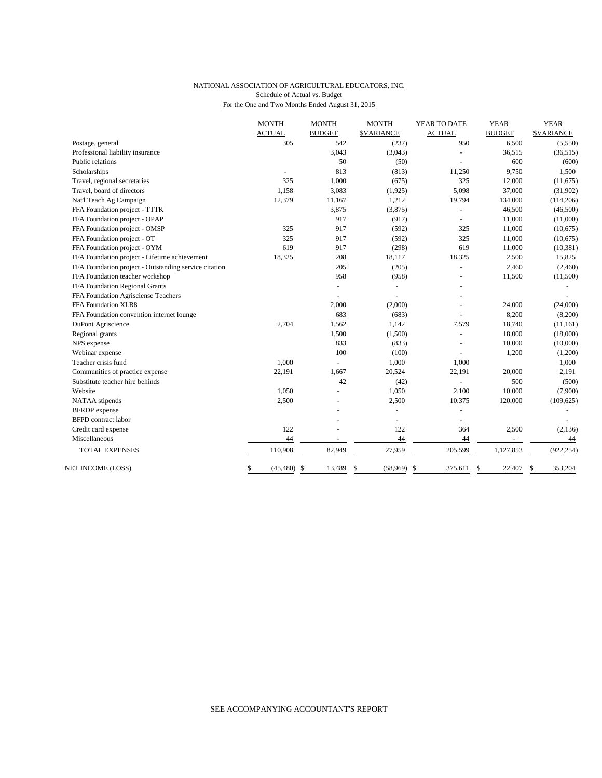### NATIONAL ASSOCIATION OF AGRICULTURAL EDUCATORS, INC. Schedule of Actual vs. Budget

For the One and Two Months Ended August 31, 2015

|                                                       | <b>MONTH</b>    | <b>MONTH</b>  | <b>MONTH</b>      | YEAR TO DATE   | <b>YEAR</b>              | <b>YEAR</b>       |
|-------------------------------------------------------|-----------------|---------------|-------------------|----------------|--------------------------|-------------------|
|                                                       | <b>ACTUAL</b>   | <b>BUDGET</b> | <b>\$VARIANCE</b> | <b>ACTUAL</b>  | <b>BUDGET</b>            | <b>\$VARIANCE</b> |
| Postage, general                                      | 305             | 542           | (237)             | 950            | 6,500                    | (5,550)           |
| Professional liability insurance                      |                 | 3,043         | (3,043)           |                | 36,515                   | (36, 515)         |
| Public relations                                      |                 | 50            | (50)              |                | 600                      | (600)             |
| Scholarships                                          | L.              | 813           | (813)             | 11,250         | 9,750                    | 1,500             |
| Travel, regional secretaries                          | 325             | 1,000         | (675)             | 325            | 12,000                   | (11,675)          |
| Travel, board of directors                            | 1,158           | 3,083         | (1, 925)          | 5,098          | 37,000                   | (31,902)          |
| Nat'l Teach Ag Campaign                               | 12,379          | 11,167        | 1,212             | 19,794         | 134,000                  | (114, 206)        |
| FFA Foundation project - TTTK                         |                 | 3,875         | (3,875)           |                | 46,500                   | (46,500)          |
| FFA Foundation project - OPAP                         |                 | 917           | (917)             | $\sim$         | 11,000                   | (11,000)          |
| FFA Foundation project - OMSP                         | 325             | 917           | (592)             | 325            | 11,000                   | (10,675)          |
| FFA Foundation project - OT                           | 325             | 917           | (592)             | 325            | 11,000                   | (10,675)          |
| FFA Foundation project - OYM                          | 619             | 917           | (298)             | 619            | 11,000                   | (10, 381)         |
| FFA Foundation project - Lifetime achievement         | 18,325          | 208           | 18,117            | 18,325         | 2,500                    | 15,825            |
| FFA Foundation project - Outstanding service citation |                 | 205           | (205)             |                | 2,460                    | (2,460)           |
| FFA Foundation teacher workshop                       |                 | 958           | (958)             | $\overline{a}$ | 11,500                   | (11,500)          |
| FFA Foundation Regional Grants                        |                 |               | $\blacksquare$    |                |                          |                   |
| FFA Foundation Agrisciense Teachers                   |                 |               | ÷,                |                |                          |                   |
| FFA Foundation XLR8                                   |                 | 2,000         | (2,000)           |                | 24,000                   | (24,000)          |
| FFA Foundation convention internet lounge             |                 | 683           | (683)             |                | 8,200                    | (8,200)           |
| DuPont Agriscience                                    | 2,704           | 1,562         | 1,142             | 7,579          | 18,740                   | (11, 161)         |
| Regional grants                                       |                 | 1,500         | (1,500)           |                | 18,000                   | (18,000)          |
| NPS expense                                           |                 | 833           | (833)             |                | 10,000                   | (10,000)          |
| Webinar expense                                       |                 | 100           | (100)             |                | 1,200                    | (1,200)           |
| Teacher crisis fund                                   | 1,000           | L.            | 1,000             | 1,000          |                          | 1,000             |
| Communities of practice expense                       | 22,191          | 1,667         | 20,524            | 22,191         | 20,000                   | 2,191             |
| Substitute teacher hire behinds                       |                 | 42            | (42)              | $\overline{a}$ | 500                      | (500)             |
| Website                                               | 1,050           |               | 1,050             | 2,100          | 10,000                   | (7,900)           |
| NATAA stipends                                        | 2,500           |               | 2,500             | 10,375         | 120,000                  | (109, 625)        |
| <b>BFRDP</b> expense                                  |                 |               | ÷,                |                |                          |                   |
| <b>BFPD</b> contract labor                            |                 |               | L,                |                |                          |                   |
| Credit card expense                                   | 122             |               | 122               | 364            | 2,500                    | (2, 136)          |
| Miscellaneous                                         | 44              | $\sim$        | 44                | 44             | $\overline{\phantom{a}}$ | 44                |
| <b>TOTAL EXPENSES</b>                                 | 110,908         | 82,949        | 27,959            | 205,599        | 1,127,853                | (922, 254)        |
| NET INCOME (LOSS)                                     | \$<br>(45, 480) | \$<br>13,489  | \$<br>(58,969)    | \$<br>375,611  | \$<br>22,407             | 353,204<br>\$     |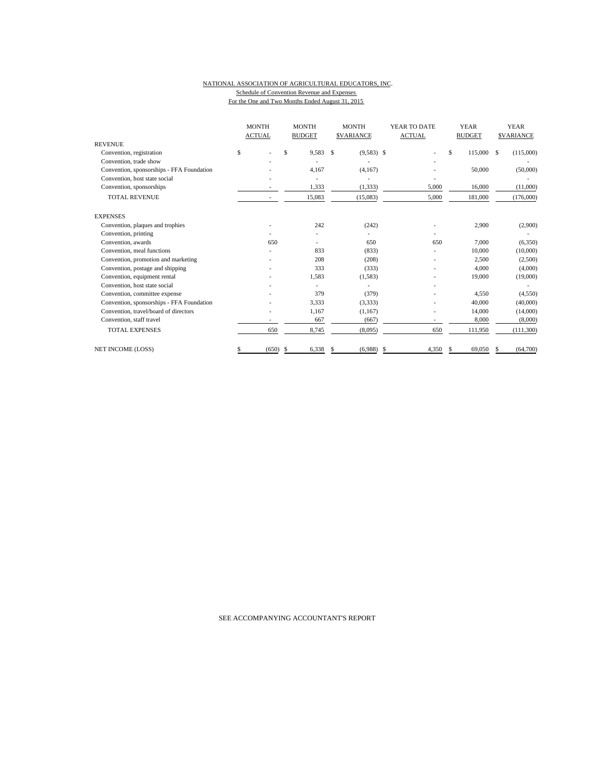#### NATIONAL ASSOCIATION OF AGRICULTURAL EDUCATORS, INC. Schedule of Convention Revenue and Expenses For the One and Two Months Ended August 31, 2015

|                                           | <b>MONTH</b><br><b>ACTUAL</b> | <b>MONTH</b><br><b>BUDGET</b> | <b>MONTH</b><br><b>SVARIANCE</b> | YEAR TO DATE<br><b>ACTUAL</b> | <b>YEAR</b><br><b>BUDGET</b> | <b>YEAR</b><br><b>SVARIANCE</b> |
|-------------------------------------------|-------------------------------|-------------------------------|----------------------------------|-------------------------------|------------------------------|---------------------------------|
| <b>REVENUE</b>                            |                               |                               |                                  |                               |                              |                                 |
| Convention, registration                  | \$                            | \$<br>9,583                   | $\mathbf{s}$<br>$(9,583)$ \$     |                               | \$<br>115,000 \$             | (115,000)                       |
| Convention, trade show                    |                               |                               |                                  |                               |                              |                                 |
| Convention, sponsorships - FFA Foundation |                               | 4,167                         | (4,167)                          |                               | 50,000                       | (50,000)                        |
| Convention, host state social             |                               |                               |                                  |                               |                              |                                 |
| Convention, sponsorships                  |                               | 1,333                         | (1, 333)                         | 5,000                         | 16,000                       | (11,000)                        |
| <b>TOTAL REVENUE</b>                      | $\overline{\phantom{a}}$      | 15,083                        | (15,083)                         | 5,000                         | 181,000                      | (176,000)                       |
| <b>EXPENSES</b>                           |                               |                               |                                  |                               |                              |                                 |
| Convention, plaques and trophies          |                               | 242                           | (242)                            |                               | 2,900                        | (2,900)                         |
| Convention, printing                      |                               |                               |                                  |                               |                              |                                 |
| Convention, awards                        | 650                           |                               | 650                              | 650                           | 7.000                        | (6,350)                         |
| Convention, meal functions                |                               | 833                           | (833)                            |                               | 10,000                       | (10,000)                        |
| Convention, promotion and marketing       |                               | 208                           | (208)                            |                               | 2,500                        | (2,500)                         |
| Convention, postage and shipping          |                               | 333                           | (333)                            |                               | 4,000                        | (4,000)                         |
| Convention, equipment rental              |                               | 1,583                         | (1,583)                          |                               | 19,000                       | (19,000)                        |
| Convention, host state social             |                               | ٠                             |                                  |                               |                              |                                 |
| Convention, committee expense             |                               | 379                           | (379)                            |                               | 4,550                        | (4,550)                         |
| Convention, sponsorships - FFA Foundation |                               | 3,333                         | (3,333)                          |                               | 40,000                       | (40,000)                        |
| Convention, travel/board of directors     |                               | 1,167                         | (1,167)                          |                               | 14,000                       | (14,000)                        |
| Convention, staff travel                  |                               | 667                           | (667)                            |                               | 8,000                        | (8,000)                         |
| <b>TOTAL EXPENSES</b>                     | 650                           | 8,745                         | (8,095)                          | 650                           | 111,950                      | (111,300)                       |
| NET INCOME (LOSS)                         | (650)<br>\$                   | 6,338<br>- S                  | (6,988)<br>S                     | 4,350<br>\$                   | 69,050                       | (64,700)                        |

### SEE ACCOMPANYING ACCOUNTANT'S REPORT